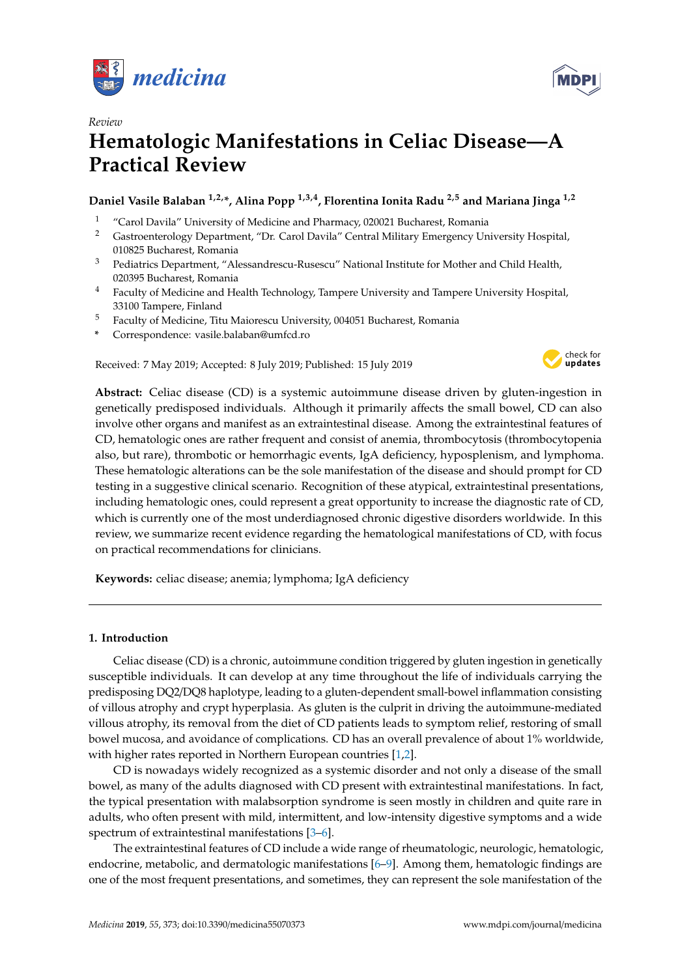



# *Review* **Hematologic Manifestations in Celiac Disease—A Practical Review**

# **Daniel Vasile Balaban 1,2,\*, Alina Popp 1,3,4, Florentina Ionita Radu 2,5 and Mariana Jinga 1,2**

- <sup>1</sup> "Carol Davila" University of Medicine and Pharmacy, 020021 Bucharest, Romania<br><sup>2</sup> Gastroenterology Department "Dr. Carol Davila" Central Military Emergency Un
- <sup>2</sup> Gastroenterology Department, "Dr. Carol Davila" Central Military Emergency University Hospital, 010825 Bucharest, Romania
- <sup>3</sup> Pediatrics Department, "Alessandrescu-Rusescu" National Institute for Mother and Child Health, 020395 Bucharest, Romania
- <sup>4</sup> Faculty of Medicine and Health Technology, Tampere University and Tampere University Hospital, 33100 Tampere, Finland
- <sup>5</sup> Faculty of Medicine, Titu Maiorescu University, 004051 Bucharest, Romania
- **\*** Correspondence: vasile.balaban@umfcd.ro

Received: 7 May 2019; Accepted: 8 July 2019; Published: 15 July 2019



**Abstract:** Celiac disease (CD) is a systemic autoimmune disease driven by gluten-ingestion in genetically predisposed individuals. Although it primarily affects the small bowel, CD can also involve other organs and manifest as an extraintestinal disease. Among the extraintestinal features of CD, hematologic ones are rather frequent and consist of anemia, thrombocytosis (thrombocytopenia also, but rare), thrombotic or hemorrhagic events, IgA deficiency, hyposplenism, and lymphoma. These hematologic alterations can be the sole manifestation of the disease and should prompt for CD testing in a suggestive clinical scenario. Recognition of these atypical, extraintestinal presentations, including hematologic ones, could represent a great opportunity to increase the diagnostic rate of CD, which is currently one of the most underdiagnosed chronic digestive disorders worldwide. In this review, we summarize recent evidence regarding the hematological manifestations of CD, with focus on practical recommendations for clinicians.

**Keywords:** celiac disease; anemia; lymphoma; IgA deficiency

# **1. Introduction**

Celiac disease (CD) is a chronic, autoimmune condition triggered by gluten ingestion in genetically susceptible individuals. It can develop at any time throughout the life of individuals carrying the predisposing DQ2/DQ8 haplotype, leading to a gluten-dependent small-bowel inflammation consisting of villous atrophy and crypt hyperplasia. As gluten is the culprit in driving the autoimmune-mediated villous atrophy, its removal from the diet of CD patients leads to symptom relief, restoring of small bowel mucosa, and avoidance of complications. CD has an overall prevalence of about 1% worldwide, with higher rates reported in Northern European countries [\[1](#page-4-0)[,2\]](#page-4-1).

CD is nowadays widely recognized as a systemic disorder and not only a disease of the small bowel, as many of the adults diagnosed with CD present with extraintestinal manifestations. In fact, the typical presentation with malabsorption syndrome is seen mostly in children and quite rare in adults, who often present with mild, intermittent, and low-intensity digestive symptoms and a wide spectrum of extraintestinal manifestations [\[3](#page-4-2)[–6\]](#page-4-3).

The extraintestinal features of CD include a wide range of rheumatologic, neurologic, hematologic, endocrine, metabolic, and dermatologic manifestations [\[6–](#page-4-3)[9\]](#page-4-4). Among them, hematologic findings are one of the most frequent presentations, and sometimes, they can represent the sole manifestation of the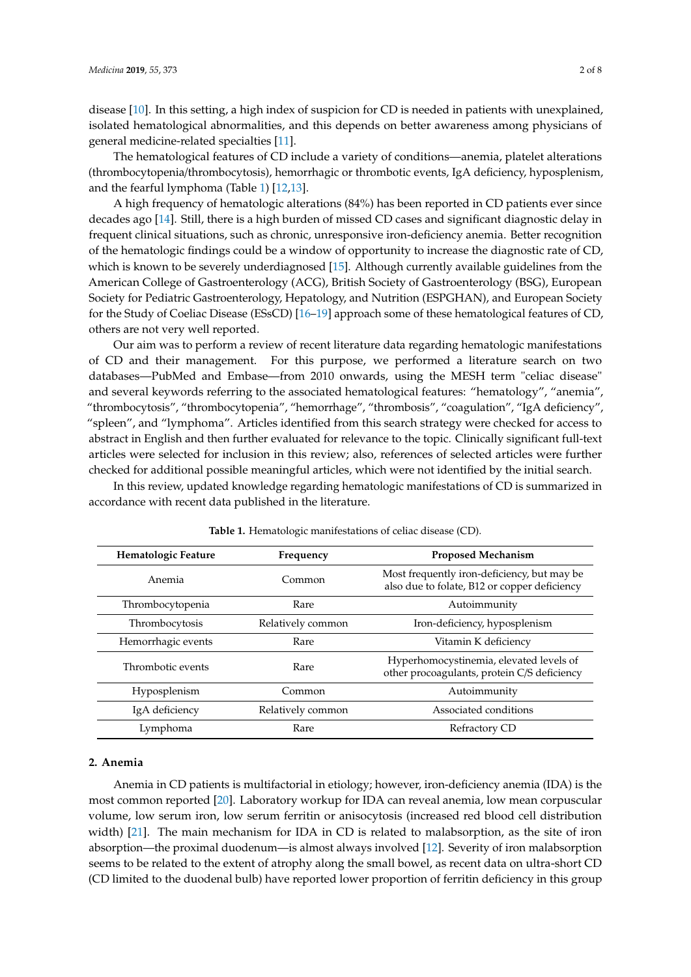disease [\[10\]](#page-4-5). In this setting, a high index of suspicion for CD is needed in patients with unexplained, isolated hematological abnormalities, and this depends on better awareness among physicians of general medicine-related specialties [\[11\]](#page-4-6).

The hematological features of CD include a variety of conditions—anemia, platelet alterations (thrombocytopenia/thrombocytosis), hemorrhagic or thrombotic events, IgA deficiency, hyposplenism, and the fearful lymphoma (Table [1\)](#page-1-0) [\[12](#page-4-7)[,13\]](#page-4-8).

A high frequency of hematologic alterations (84%) has been reported in CD patients ever since decades ago [\[14\]](#page-4-9). Still, there is a high burden of missed CD cases and significant diagnostic delay in frequent clinical situations, such as chronic, unresponsive iron-deficiency anemia. Better recognition of the hematologic findings could be a window of opportunity to increase the diagnostic rate of CD, which is known to be severely underdiagnosed [\[15\]](#page-4-10). Although currently available guidelines from the American College of Gastroenterology (ACG), British Society of Gastroenterology (BSG), European Society for Pediatric Gastroenterology, Hepatology, and Nutrition (ESPGHAN), and European Society for the Study of Coeliac Disease (ESsCD) [\[16–](#page-4-11)[19\]](#page-4-12) approach some of these hematological features of CD, others are not very well reported.

Our aim was to perform a review of recent literature data regarding hematologic manifestations of CD and their management. For this purpose, we performed a literature search on two databases—PubMed and Embase—from 2010 onwards, using the MESH term "celiac disease" and several keywords referring to the associated hematological features: "hematology", "anemia", "thrombocytosis", "thrombocytopenia", "hemorrhage", "thrombosis", "coagulation", "IgA deficiency", "spleen", and "lymphoma". Articles identified from this search strategy were checked for access to abstract in English and then further evaluated for relevance to the topic. Clinically significant full-text articles were selected for inclusion in this review; also, references of selected articles were further checked for additional possible meaningful articles, which were not identified by the initial search.

In this review, updated knowledge regarding hematologic manifestations of CD is summarized in accordance with recent data published in the literature.

<span id="page-1-0"></span>

| Hematologic Feature<br>Frequency |                   | <b>Proposed Mechanism</b>                                                                   |  |
|----------------------------------|-------------------|---------------------------------------------------------------------------------------------|--|
| Anemia                           | Common            | Most frequently iron-deficiency, but may be<br>also due to folate, B12 or copper deficiency |  |
| Thrombocytopenia                 | Rare              | Autoimmunity                                                                                |  |
| Thrombocytosis                   | Relatively common | Iron-deficiency, hyposplenism                                                               |  |
| Hemorrhagic events               | Rare              | Vitamin K deficiency                                                                        |  |
| Thrombotic events                | Rare              | Hyperhomocystinemia, elevated levels of<br>other procoagulants, protein C/S deficiency      |  |
| Hyposplenism                     | Common            | Autoimmunity                                                                                |  |
| IgA deficiency                   | Relatively common | Associated conditions                                                                       |  |
| Lymphoma                         | Rare              | Refractory CD                                                                               |  |

|  |  | Table 1. Hematologic manifestations of celiac disease (CD). |  |  |  |
|--|--|-------------------------------------------------------------|--|--|--|
|--|--|-------------------------------------------------------------|--|--|--|

## **2. Anemia**

Anemia in CD patients is multifactorial in etiology; however, iron-deficiency anemia (IDA) is the most common reported [\[20\]](#page-5-0). Laboratory workup for IDA can reveal anemia, low mean corpuscular volume, low serum iron, low serum ferritin or anisocytosis (increased red blood cell distribution width) [\[21\]](#page-5-1). The main mechanism for IDA in CD is related to malabsorption, as the site of iron absorption—the proximal duodenum—is almost always involved [\[12\]](#page-4-7). Severity of iron malabsorption seems to be related to the extent of atrophy along the small bowel, as recent data on ultra-short CD (CD limited to the duodenal bulb) have reported lower proportion of ferritin deficiency in this group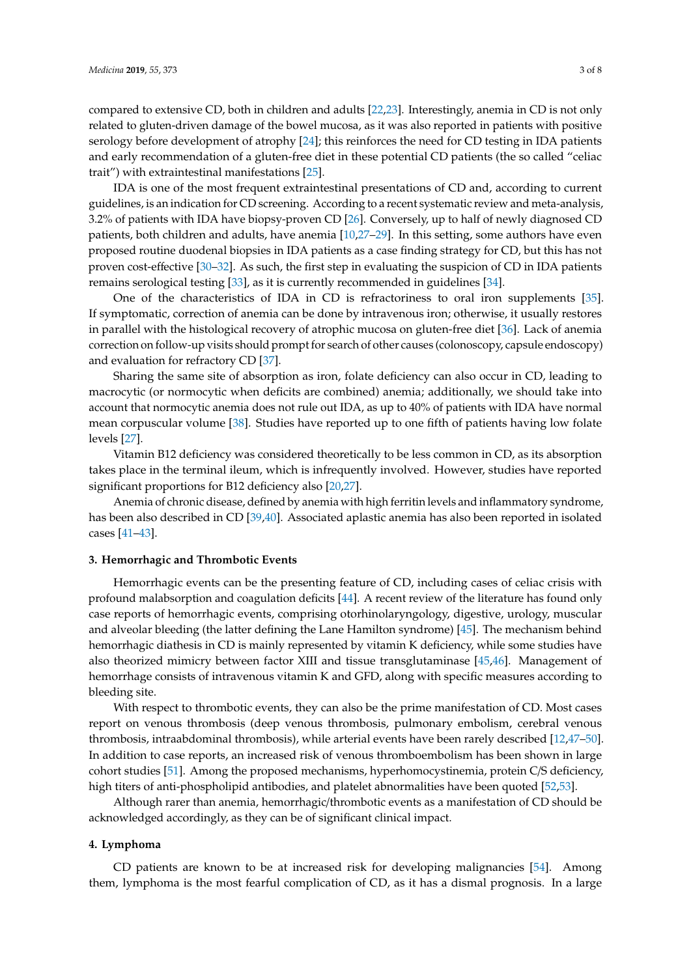compared to extensive CD, both in children and adults [\[22](#page-5-2)[,23\]](#page-5-3). Interestingly, anemia in CD is not only related to gluten-driven damage of the bowel mucosa, as it was also reported in patients with positive serology before development of atrophy [\[24\]](#page-5-4); this reinforces the need for CD testing in IDA patients and early recommendation of a gluten-free diet in these potential CD patients (the so called "celiac trait") with extraintestinal manifestations [\[25\]](#page-5-5).

IDA is one of the most frequent extraintestinal presentations of CD and, according to current guidelines, is an indication for CD screening. According to a recent systematic review and meta-analysis, 3.2% of patients with IDA have biopsy-proven CD [\[26\]](#page-5-6). Conversely, up to half of newly diagnosed CD patients, both children and adults, have anemia [\[10,](#page-4-5)[27–](#page-5-7)[29\]](#page-5-8). In this setting, some authors have even proposed routine duodenal biopsies in IDA patients as a case finding strategy for CD, but this has not proven cost-effective [\[30](#page-5-9)[–32\]](#page-5-10). As such, the first step in evaluating the suspicion of CD in IDA patients remains serological testing [\[33\]](#page-5-11), as it is currently recommended in guidelines [\[34\]](#page-5-12).

One of the characteristics of IDA in CD is refractoriness to oral iron supplements [\[35\]](#page-5-13). If symptomatic, correction of anemia can be done by intravenous iron; otherwise, it usually restores in parallel with the histological recovery of atrophic mucosa on gluten-free diet [\[36\]](#page-5-14). Lack of anemia correction on follow-up visits should prompt for search of other causes (colonoscopy, capsule endoscopy) and evaluation for refractory CD [\[37\]](#page-5-15).

Sharing the same site of absorption as iron, folate deficiency can also occur in CD, leading to macrocytic (or normocytic when deficits are combined) anemia; additionally, we should take into account that normocytic anemia does not rule out IDA, as up to 40% of patients with IDA have normal mean corpuscular volume [\[38\]](#page-5-16). Studies have reported up to one fifth of patients having low folate levels [\[27\]](#page-5-7).

Vitamin B12 deficiency was considered theoretically to be less common in CD, as its absorption takes place in the terminal ileum, which is infrequently involved. However, studies have reported significant proportions for B12 deficiency also [\[20](#page-5-0)[,27\]](#page-5-7).

Anemia of chronic disease, defined by anemia with high ferritin levels and inflammatory syndrome, has been also described in CD [\[39,](#page-5-17)[40\]](#page-6-0). Associated aplastic anemia has also been reported in isolated cases [\[41–](#page-6-1)[43\]](#page-6-2).

#### **3. Hemorrhagic and Thrombotic Events**

Hemorrhagic events can be the presenting feature of CD, including cases of celiac crisis with profound malabsorption and coagulation deficits [\[44\]](#page-6-3). A recent review of the literature has found only case reports of hemorrhagic events, comprising otorhinolaryngology, digestive, urology, muscular and alveolar bleeding (the latter defining the Lane Hamilton syndrome) [\[45\]](#page-6-4). The mechanism behind hemorrhagic diathesis in CD is mainly represented by vitamin K deficiency, while some studies have also theorized mimicry between factor XIII and tissue transglutaminase [\[45,](#page-6-4)[46\]](#page-6-5). Management of hemorrhage consists of intravenous vitamin K and GFD, along with specific measures according to bleeding site.

With respect to thrombotic events, they can also be the prime manifestation of CD. Most cases report on venous thrombosis (deep venous thrombosis, pulmonary embolism, cerebral venous thrombosis, intraabdominal thrombosis), while arterial events have been rarely described [\[12,](#page-4-7)[47–](#page-6-6)[50\]](#page-6-7). In addition to case reports, an increased risk of venous thromboembolism has been shown in large cohort studies [\[51\]](#page-6-8). Among the proposed mechanisms, hyperhomocystinemia, protein C/S deficiency, high titers of anti-phospholipid antibodies, and platelet abnormalities have been quoted [\[52,](#page-6-9)[53\]](#page-6-10).

Although rarer than anemia, hemorrhagic/thrombotic events as a manifestation of CD should be acknowledged accordingly, as they can be of significant clinical impact.

#### **4. Lymphoma**

CD patients are known to be at increased risk for developing malignancies [\[54\]](#page-6-11). Among them, lymphoma is the most fearful complication of CD, as it has a dismal prognosis. In a large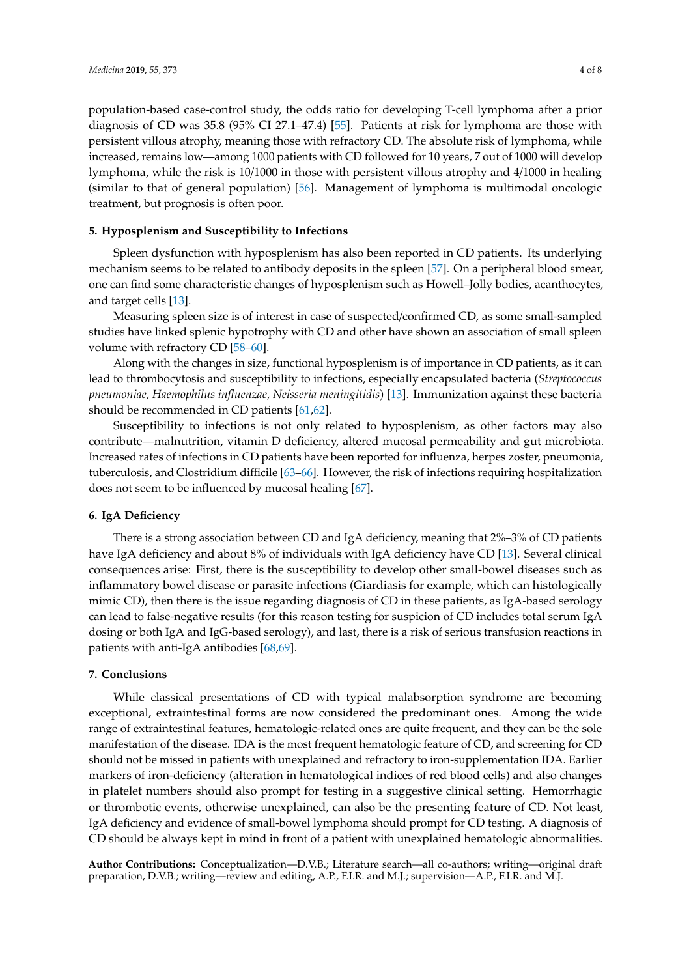population-based case-control study, the odds ratio for developing T-cell lymphoma after a prior diagnosis of CD was 35.8 (95% CI 27.1–47.4) [\[55\]](#page-6-12). Patients at risk for lymphoma are those with persistent villous atrophy, meaning those with refractory CD. The absolute risk of lymphoma, while increased, remains low—among 1000 patients with CD followed for 10 years, 7 out of 1000 will develop lymphoma, while the risk is 10/1000 in those with persistent villous atrophy and 4/1000 in healing (similar to that of general population) [\[56\]](#page-6-13). Management of lymphoma is multimodal oncologic treatment, but prognosis is often poor.

#### **5. Hyposplenism and Susceptibility to Infections**

Spleen dysfunction with hyposplenism has also been reported in CD patients. Its underlying mechanism seems to be related to antibody deposits in the spleen [\[57\]](#page-6-14). On a peripheral blood smear, one can find some characteristic changes of hyposplenism such as Howell–Jolly bodies, acanthocytes, and target cells [\[13\]](#page-4-8).

Measuring spleen size is of interest in case of suspected/confirmed CD, as some small-sampled studies have linked splenic hypotrophy with CD and other have shown an association of small spleen volume with refractory CD [\[58](#page-6-15)[–60\]](#page-6-16).

Along with the changes in size, functional hyposplenism is of importance in CD patients, as it can lead to thrombocytosis and susceptibility to infections, especially encapsulated bacteria (*Streptococcus pneumoniae, Haemophilus influenzae, Neisseria meningitidis*) [\[13\]](#page-4-8). Immunization against these bacteria should be recommended in CD patients [\[61,](#page-7-0)[62\]](#page-7-1).

Susceptibility to infections is not only related to hyposplenism, as other factors may also contribute—malnutrition, vitamin D deficiency, altered mucosal permeability and gut microbiota. Increased rates of infections in CD patients have been reported for influenza, herpes zoster, pneumonia, tuberculosis, and Clostridium difficile [\[63–](#page-7-2)[66\]](#page-7-3). However, the risk of infections requiring hospitalization does not seem to be influenced by mucosal healing [\[67\]](#page-7-4).

## **6. IgA Deficiency**

There is a strong association between CD and IgA deficiency, meaning that 2%–3% of CD patients have IgA deficiency and about 8% of individuals with IgA deficiency have CD [\[13\]](#page-4-8). Several clinical consequences arise: First, there is the susceptibility to develop other small-bowel diseases such as inflammatory bowel disease or parasite infections (Giardiasis for example, which can histologically mimic CD), then there is the issue regarding diagnosis of CD in these patients, as IgA-based serology can lead to false-negative results (for this reason testing for suspicion of CD includes total serum IgA dosing or both IgA and IgG-based serology), and last, there is a risk of serious transfusion reactions in patients with anti-IgA antibodies [\[68,](#page-7-5)[69\]](#page-7-6).

#### **7. Conclusions**

While classical presentations of CD with typical malabsorption syndrome are becoming exceptional, extraintestinal forms are now considered the predominant ones. Among the wide range of extraintestinal features, hematologic-related ones are quite frequent, and they can be the sole manifestation of the disease. IDA is the most frequent hematologic feature of CD, and screening for CD should not be missed in patients with unexplained and refractory to iron-supplementation IDA. Earlier markers of iron-deficiency (alteration in hematological indices of red blood cells) and also changes in platelet numbers should also prompt for testing in a suggestive clinical setting. Hemorrhagic or thrombotic events, otherwise unexplained, can also be the presenting feature of CD. Not least, IgA deficiency and evidence of small-bowel lymphoma should prompt for CD testing. A diagnosis of CD should be always kept in mind in front of a patient with unexplained hematologic abnormalities.

**Author Contributions:** Conceptualization—D.V.B.; Literature search—all co-authors; writing—original draft preparation, D.V.B.; writing—review and editing, A.P., F.I.R. and M.J.; supervision—A.P., F.I.R. and M.J.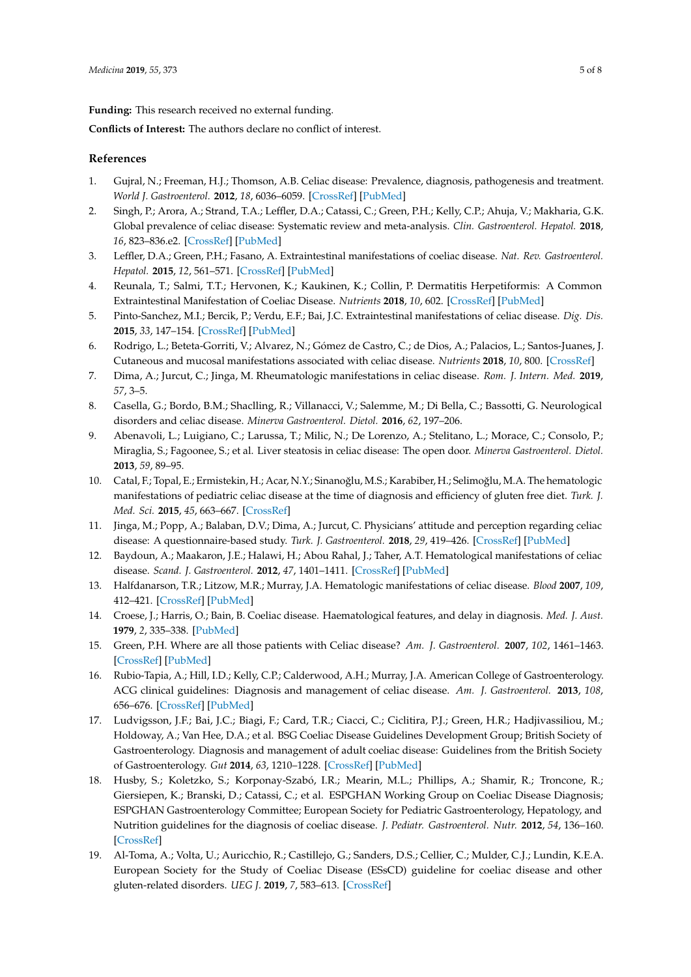**Funding:** This research received no external funding.

**Conflicts of Interest:** The authors declare no conflict of interest.

#### **References**

- <span id="page-4-0"></span>1. Gujral, N.; Freeman, H.J.; Thomson, A.B. Celiac disease: Prevalence, diagnosis, pathogenesis and treatment. *World J. Gastroenterol.* **2012**, *18*, 6036–6059. [\[CrossRef\]](http://dx.doi.org/10.3748/wjg.v18.i42.6036) [\[PubMed\]](http://www.ncbi.nlm.nih.gov/pubmed/23155333)
- <span id="page-4-1"></span>2. Singh, P.; Arora, A.; Strand, T.A.; Leffler, D.A.; Catassi, C.; Green, P.H.; Kelly, C.P.; Ahuja, V.; Makharia, G.K. Global prevalence of celiac disease: Systematic review and meta-analysis. *Clin. Gastroenterol. Hepatol.* **2018**, *16*, 823–836.e2. [\[CrossRef\]](http://dx.doi.org/10.1016/j.cgh.2017.06.037) [\[PubMed\]](http://www.ncbi.nlm.nih.gov/pubmed/29551598)
- <span id="page-4-2"></span>3. Leffler, D.A.; Green, P.H.; Fasano, A. Extraintestinal manifestations of coeliac disease. *Nat. Rev. Gastroenterol. Hepatol.* **2015**, *12*, 561–571. [\[CrossRef\]](http://dx.doi.org/10.1038/nrgastro.2015.131) [\[PubMed\]](http://www.ncbi.nlm.nih.gov/pubmed/26260366)
- 4. Reunala, T.; Salmi, T.T.; Hervonen, K.; Kaukinen, K.; Collin, P. Dermatitis Herpetiformis: A Common Extraintestinal Manifestation of Coeliac Disease. *Nutrients* **2018**, *10*, 602. [\[CrossRef\]](http://dx.doi.org/10.3390/nu10050602) [\[PubMed\]](http://www.ncbi.nlm.nih.gov/pubmed/29757210)
- 5. Pinto-Sanchez, M.I.; Bercik, P.; Verdu, E.F.; Bai, J.C. Extraintestinal manifestations of celiac disease. *Dig. Dis.* **2015**, *33*, 147–154. [\[CrossRef\]](http://dx.doi.org/10.1159/000369541) [\[PubMed\]](http://www.ncbi.nlm.nih.gov/pubmed/25925916)
- <span id="page-4-3"></span>6. Rodrigo, L.; Beteta-Gorriti, V.; Alvarez, N.; Gómez de Castro, C.; de Dios, A.; Palacios, L.; Santos-Juanes, J. Cutaneous and mucosal manifestations associated with celiac disease. *Nutrients* **2018**, *10*, 800. [\[CrossRef\]](http://dx.doi.org/10.3390/nu10070800)
- 7. Dima, A.; Jurcut, C.; Jinga, M. Rheumatologic manifestations in celiac disease. *Rom. J. Intern. Med.* **2019**, *57*, 3–5.
- 8. Casella, G.; Bordo, B.M.; Shaclling, R.; Villanacci, V.; Salemme, M.; Di Bella, C.; Bassotti, G. Neurological disorders and celiac disease. *Minerva Gastroenterol. Dietol.* **2016**, *62*, 197–206.
- <span id="page-4-4"></span>9. Abenavoli, L.; Luigiano, C.; Larussa, T.; Milic, N.; De Lorenzo, A.; Stelitano, L.; Morace, C.; Consolo, P.; Miraglia, S.; Fagoonee, S.; et al. Liver steatosis in celiac disease: The open door. *Minerva Gastroenterol. Dietol.* **2013**, *59*, 89–95.
- <span id="page-4-5"></span>10. Catal, F.; Topal, E.; Ermistekin, H.; Acar, N.Y.; Sinanoğlu, M.S.; Karabiber, H.; Selimoğlu, M.A. The hematologic manifestations of pediatric celiac disease at the time of diagnosis and efficiency of gluten free diet. *Turk. J. Med. Sci.* **2015**, *45*, 663–667. [\[CrossRef\]](http://dx.doi.org/10.3906/sag-1402-169)
- <span id="page-4-6"></span>11. Jinga, M.; Popp, A.; Balaban, D.V.; Dima, A.; Jurcut, C. Physicians' attitude and perception regarding celiac disease: A questionnaire-based study. *Turk. J. Gastroenterol.* **2018**, *29*, 419–426. [\[CrossRef\]](http://dx.doi.org/10.5152/tjg.2018.17236) [\[PubMed\]](http://www.ncbi.nlm.nih.gov/pubmed/30249556)
- <span id="page-4-7"></span>12. Baydoun, A.; Maakaron, J.E.; Halawi, H.; Abou Rahal, J.; Taher, A.T. Hematological manifestations of celiac disease. *Scand. J. Gastroenterol.* **2012**, *47*, 1401–1411. [\[CrossRef\]](http://dx.doi.org/10.3109/00365521.2012.706828) [\[PubMed\]](http://www.ncbi.nlm.nih.gov/pubmed/22861356)
- <span id="page-4-8"></span>13. Halfdanarson, T.R.; Litzow, M.R.; Murray, J.A. Hematologic manifestations of celiac disease. *Blood* **2007**, *109*, 412–421. [\[CrossRef\]](http://dx.doi.org/10.1182/blood-2006-07-031104) [\[PubMed\]](http://www.ncbi.nlm.nih.gov/pubmed/16973955)
- <span id="page-4-9"></span>14. Croese, J.; Harris, O.; Bain, B. Coeliac disease. Haematological features, and delay in diagnosis. *Med. J. Aust.* **1979**, *2*, 335–338. [\[PubMed\]](http://www.ncbi.nlm.nih.gov/pubmed/514176)
- <span id="page-4-10"></span>15. Green, P.H. Where are all those patients with Celiac disease? *Am. J. Gastroenterol.* **2007**, *102*, 1461–1463. [\[CrossRef\]](http://dx.doi.org/10.1111/j.1572-0241.2007.01167.x) [\[PubMed\]](http://www.ncbi.nlm.nih.gov/pubmed/17593160)
- <span id="page-4-11"></span>16. Rubio-Tapia, A.; Hill, I.D.; Kelly, C.P.; Calderwood, A.H.; Murray, J.A. American College of Gastroenterology. ACG clinical guidelines: Diagnosis and management of celiac disease. *Am. J. Gastroenterol.* **2013**, *108*, 656–676. [\[CrossRef\]](http://dx.doi.org/10.1038/ajg.2013.79) [\[PubMed\]](http://www.ncbi.nlm.nih.gov/pubmed/23609613)
- 17. Ludvigsson, J.F.; Bai, J.C.; Biagi, F.; Card, T.R.; Ciacci, C.; Ciclitira, P.J.; Green, H.R.; Hadjivassiliou, M.; Holdoway, A.; Van Hee, D.A.; et al. BSG Coeliac Disease Guidelines Development Group; British Society of Gastroenterology. Diagnosis and management of adult coeliac disease: Guidelines from the British Society of Gastroenterology. *Gut* **2014**, *63*, 1210–1228. [\[CrossRef\]](http://dx.doi.org/10.1136/gutjnl-2013-306578) [\[PubMed\]](http://www.ncbi.nlm.nih.gov/pubmed/24917550)
- 18. Husby, S.; Koletzko, S.; Korponay-Szabó, I.R.; Mearin, M.L.; Phillips, A.; Shamir, R.; Troncone, R.; Giersiepen, K.; Branski, D.; Catassi, C.; et al. ESPGHAN Working Group on Coeliac Disease Diagnosis; ESPGHAN Gastroenterology Committee; European Society for Pediatric Gastroenterology, Hepatology, and Nutrition guidelines for the diagnosis of coeliac disease. *J. Pediatr. Gastroenterol. Nutr.* **2012**, *54*, 136–160. [\[CrossRef\]](http://dx.doi.org/10.1097/MPG.0b013e31821a23d0)
- <span id="page-4-12"></span>19. Al-Toma, A.; Volta, U.; Auricchio, R.; Castillejo, G.; Sanders, D.S.; Cellier, C.; Mulder, C.J.; Lundin, K.E.A. European Society for the Study of Coeliac Disease (ESsCD) guideline for coeliac disease and other gluten-related disorders. *UEG J.* **2019**, *7*, 583–613. [\[CrossRef\]](http://dx.doi.org/10.1177/2050640619844125)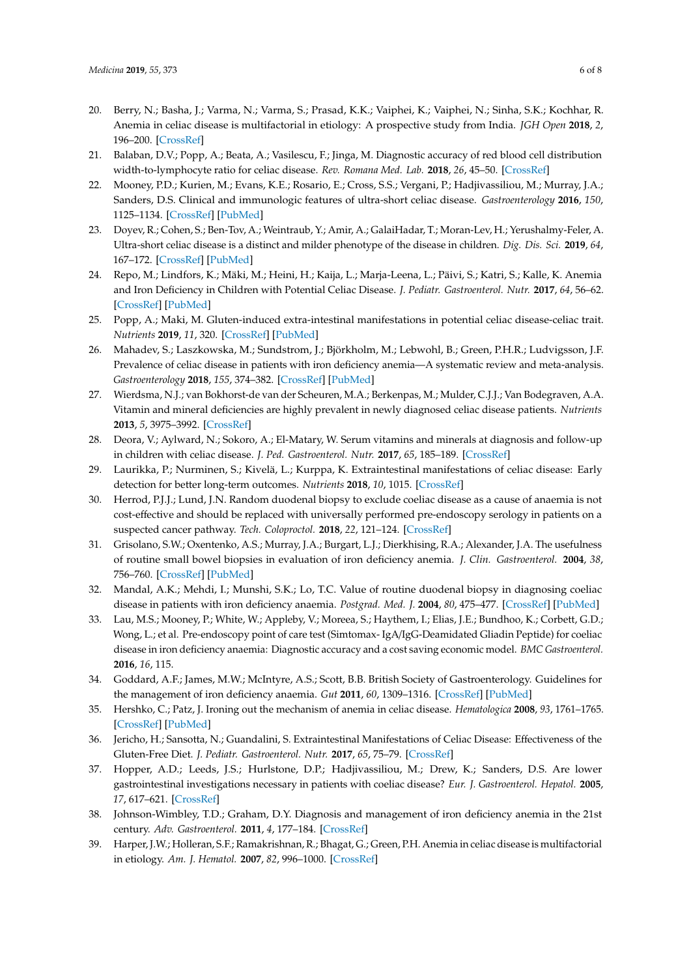- <span id="page-5-0"></span>20. Berry, N.; Basha, J.; Varma, N.; Varma, S.; Prasad, K.K.; Vaiphei, K.; Vaiphei, N.; Sinha, S.K.; Kochhar, R. Anemia in celiac disease is multifactorial in etiology: A prospective study from India. *JGH Open* **2018**, *2*, 196–200. [\[CrossRef\]](http://dx.doi.org/10.1002/jgh3.12073)
- <span id="page-5-1"></span>21. Balaban, D.V.; Popp, A.; Beata, A.; Vasilescu, F.; Jinga, M. Diagnostic accuracy of red blood cell distribution width-to-lymphocyte ratio for celiac disease. *Rev. Romana Med. Lab.* **2018**, *26*, 45–50. [\[CrossRef\]](http://dx.doi.org/10.1515/rrlm-2017-0040)
- <span id="page-5-2"></span>22. Mooney, P.D.; Kurien, M.; Evans, K.E.; Rosario, E.; Cross, S.S.; Vergani, P.; Hadjivassiliou, M.; Murray, J.A.; Sanders, D.S. Clinical and immunologic features of ultra-short celiac disease. *Gastroenterology* **2016**, *150*, 1125–1134. [\[CrossRef\]](http://dx.doi.org/10.1053/j.gastro.2016.01.029) [\[PubMed\]](http://www.ncbi.nlm.nih.gov/pubmed/26836585)
- <span id="page-5-3"></span>23. Doyev, R.; Cohen, S.; Ben-Tov, A.; Weintraub, Y.; Amir, A.; GalaiHadar, T.; Moran-Lev, H.; Yerushalmy-Feler, A. Ultra-short celiac disease is a distinct and milder phenotype of the disease in children. *Dig. Dis. Sci.* **2019**, *64*, 167–172. [\[CrossRef\]](http://dx.doi.org/10.1007/s10620-018-5323-x) [\[PubMed\]](http://www.ncbi.nlm.nih.gov/pubmed/30311150)
- <span id="page-5-4"></span>24. Repo, M.; Lindfors, K.; Mäki, M.; Heini, H.; Kaija, L.; Marja-Leena, L.; Päivi, S.; Katri, S.; Kalle, K. Anemia and Iron Deficiency in Children with Potential Celiac Disease. *J. Pediatr. Gastroenterol. Nutr.* **2017**, *64*, 56–62. [\[CrossRef\]](http://dx.doi.org/10.1097/MPG.0000000000001234) [\[PubMed\]](http://www.ncbi.nlm.nih.gov/pubmed/27101536)
- <span id="page-5-5"></span>25. Popp, A.; Maki, M. Gluten-induced extra-intestinal manifestations in potential celiac disease-celiac trait. *Nutrients* **2019**, *11*, 320. [\[CrossRef\]](http://dx.doi.org/10.3390/nu11020320) [\[PubMed\]](http://www.ncbi.nlm.nih.gov/pubmed/30717318)
- <span id="page-5-6"></span>26. Mahadev, S.; Laszkowska, M.; Sundstrom, J.; Björkholm, M.; Lebwohl, B.; Green, P.H.R.; Ludvigsson, J.F. Prevalence of celiac disease in patients with iron deficiency anemia—A systematic review and meta-analysis. *Gastroenterology* **2018**, *155*, 374–382. [\[CrossRef\]](http://dx.doi.org/10.1053/j.gastro.2018.04.016) [\[PubMed\]](http://www.ncbi.nlm.nih.gov/pubmed/29689265)
- <span id="page-5-7"></span>27. Wierdsma, N.J.; van Bokhorst-de van der Scheuren, M.A.; Berkenpas, M.; Mulder, C.J.J.; Van Bodegraven, A.A. Vitamin and mineral deficiencies are highly prevalent in newly diagnosed celiac disease patients. *Nutrients* **2013**, *5*, 3975–3992. [\[CrossRef\]](http://dx.doi.org/10.3390/nu5103975)
- 28. Deora, V.; Aylward, N.; Sokoro, A.; El-Matary, W. Serum vitamins and minerals at diagnosis and follow-up in children with celiac disease. *J. Ped. Gastroenterol. Nutr.* **2017**, *65*, 185–189. [\[CrossRef\]](http://dx.doi.org/10.1097/MPG.0000000000001475)
- <span id="page-5-8"></span>29. Laurikka, P.; Nurminen, S.; Kivelä, L.; Kurppa, K. Extraintestinal manifestations of celiac disease: Early detection for better long-term outcomes. *Nutrients* **2018**, *10*, 1015. [\[CrossRef\]](http://dx.doi.org/10.3390/nu10081015)
- <span id="page-5-9"></span>30. Herrod, P.J.J.; Lund, J.N. Random duodenal biopsy to exclude coeliac disease as a cause of anaemia is not cost-effective and should be replaced with universally performed pre-endoscopy serology in patients on a suspected cancer pathway. *Tech. Coloproctol.* **2018**, *22*, 121–124. [\[CrossRef\]](http://dx.doi.org/10.1007/s10151-018-1756-7)
- 31. Grisolano, S.W.; Oxentenko, A.S.; Murray, J.A.; Burgart, L.J.; Dierkhising, R.A.; Alexander, J.A. The usefulness of routine small bowel biopsies in evaluation of iron deficiency anemia. *J. Clin. Gastroenterol.* **2004**, *38*, 756–760. [\[CrossRef\]](http://dx.doi.org/10.1097/01.mcg.0000139034.38568.51) [\[PubMed\]](http://www.ncbi.nlm.nih.gov/pubmed/15365400)
- <span id="page-5-10"></span>32. Mandal, A.K.; Mehdi, I.; Munshi, S.K.; Lo, T.C. Value of routine duodenal biopsy in diagnosing coeliac disease in patients with iron deficiency anaemia. *Postgrad. Med. J.* **2004**, *80*, 475–477. [\[CrossRef\]](http://dx.doi.org/10.1136/pgmj.2003.014670) [\[PubMed\]](http://www.ncbi.nlm.nih.gov/pubmed/15299158)
- <span id="page-5-11"></span>33. Lau, M.S.; Mooney, P.; White, W.; Appleby, V.; Moreea, S.; Haythem, I.; Elias, J.E.; Bundhoo, K.; Corbett, G.D.; Wong, L.; et al. Pre-endoscopy point of care test (Simtomax- IgA/IgG-Deamidated Gliadin Peptide) for coeliac disease in iron deficiency anaemia: Diagnostic accuracy and a cost saving economic model. *BMC Gastroenterol.* **2016**, *16*, 115.
- <span id="page-5-12"></span>34. Goddard, A.F.; James, M.W.; McIntyre, A.S.; Scott, B.B. British Society of Gastroenterology. Guidelines for the management of iron deficiency anaemia. *Gut* **2011**, *60*, 1309–1316. [\[CrossRef\]](http://dx.doi.org/10.1136/gut.2010.228874) [\[PubMed\]](http://www.ncbi.nlm.nih.gov/pubmed/21561874)
- <span id="page-5-13"></span>35. Hershko, C.; Patz, J. Ironing out the mechanism of anemia in celiac disease. *Hematologica* **2008**, *93*, 1761–1765. [\[CrossRef\]](http://dx.doi.org/10.3324/haematol.2008.000828) [\[PubMed\]](http://www.ncbi.nlm.nih.gov/pubmed/19050064)
- <span id="page-5-14"></span>36. Jericho, H.; Sansotta, N.; Guandalini, S. Extraintestinal Manifestations of Celiac Disease: Effectiveness of the Gluten-Free Diet. *J. Pediatr. Gastroenterol. Nutr.* **2017**, *65*, 75–79. [\[CrossRef\]](http://dx.doi.org/10.1097/MPG.0000000000001420)
- <span id="page-5-15"></span>37. Hopper, A.D.; Leeds, J.S.; Hurlstone, D.P.; Hadjivassiliou, M.; Drew, K.; Sanders, D.S. Are lower gastrointestinal investigations necessary in patients with coeliac disease? *Eur. J. Gastroenterol. Hepatol.* **2005**, *17*, 617–621. [\[CrossRef\]](http://dx.doi.org/10.1097/00042737-200506000-00005)
- <span id="page-5-16"></span>38. Johnson-Wimbley, T.D.; Graham, D.Y. Diagnosis and management of iron deficiency anemia in the 21st century. *Adv. Gastroenterol.* **2011**, *4*, 177–184. [\[CrossRef\]](http://dx.doi.org/10.1177/1756283X11398736)
- <span id="page-5-17"></span>39. Harper, J.W.; Holleran, S.F.; Ramakrishnan, R.; Bhagat, G.; Green, P.H. Anemia in celiac disease is multifactorial in etiology. *Am. J. Hematol.* **2007**, *82*, 996–1000. [\[CrossRef\]](http://dx.doi.org/10.1002/ajh.20996)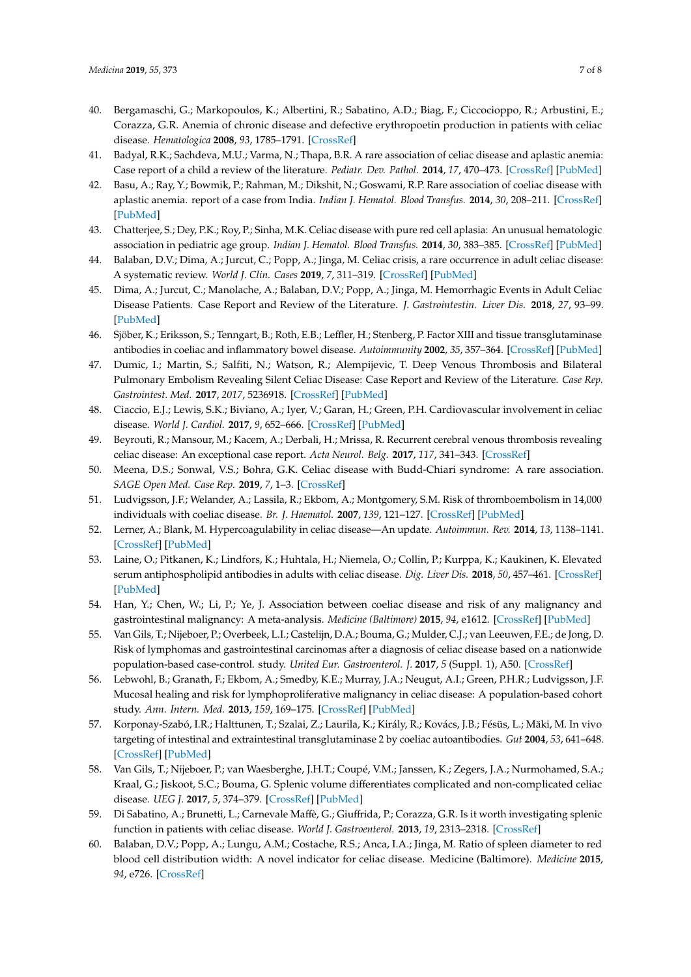- <span id="page-6-0"></span>40. Bergamaschi, G.; Markopoulos, K.; Albertini, R.; Sabatino, A.D.; Biag, F.; Ciccocioppo, R.; Arbustini, E.; Corazza, G.R. Anemia of chronic disease and defective erythropoetin production in patients with celiac disease. *Hematologica* **2008**, *93*, 1785–1791. [\[CrossRef\]](http://dx.doi.org/10.3324/haematol.13255)
- <span id="page-6-1"></span>41. Badyal, R.K.; Sachdeva, M.U.; Varma, N.; Thapa, B.R. A rare association of celiac disease and aplastic anemia: Case report of a child a review of the literature. *Pediatr. Dev. Pathol.* **2014**, *17*, 470–473. [\[CrossRef\]](http://dx.doi.org/10.2350/14-05-1489-CR.1) [\[PubMed\]](http://www.ncbi.nlm.nih.gov/pubmed/25075625)
- 42. Basu, A.; Ray, Y.; Bowmik, P.; Rahman, M.; Dikshit, N.; Goswami, R.P. Rare association of coeliac disease with aplastic anemia. report of a case from India. *Indian J. Hematol. Blood Transfus.* **2014**, *30*, 208–211. [\[CrossRef\]](http://dx.doi.org/10.1007/s12288-014-0331-2) [\[PubMed\]](http://www.ncbi.nlm.nih.gov/pubmed/25332580)
- <span id="page-6-2"></span>43. Chatterjee, S.; Dey, P.K.; Roy, P.; Sinha, M.K. Celiac disease with pure red cell aplasia: An unusual hematologic association in pediatric age group. *Indian J. Hematol. Blood Transfus.* **2014**, *30*, 383–385. [\[CrossRef\]](http://dx.doi.org/10.1007/s12288-014-0425-x) [\[PubMed\]](http://www.ncbi.nlm.nih.gov/pubmed/25332626)
- <span id="page-6-3"></span>44. Balaban, D.V.; Dima, A.; Jurcut, C.; Popp, A.; Jinga, M. Celiac crisis, a rare occurrence in adult celiac disease: A systematic review. *World J. Clin. Cases* **2019**, *7*, 311–319. [\[CrossRef\]](http://dx.doi.org/10.12998/wjcc.v7.i3.311) [\[PubMed\]](http://www.ncbi.nlm.nih.gov/pubmed/30746372)
- <span id="page-6-4"></span>45. Dima, A.; Jurcut, C.; Manolache, A.; Balaban, D.V.; Popp, A.; Jinga, M. Hemorrhagic Events in Adult Celiac Disease Patients. Case Report and Review of the Literature. *J. Gastrointestin. Liver Dis.* **2018**, *27*, 93–99. [\[PubMed\]](http://www.ncbi.nlm.nih.gov/pubmed/29557421)
- <span id="page-6-5"></span>46. Sjöber, K.; Eriksson, S.; Tenngart, B.; Roth, E.B.; Leffler, H.; Stenberg, P. Factor XIII and tissue transglutaminase antibodies in coeliac and inflammatory bowel disease. *Autoimmunity* **2002**, *35*, 357–364. [\[CrossRef\]](http://dx.doi.org/10.1080/73-0891693021000005402) [\[PubMed\]](http://www.ncbi.nlm.nih.gov/pubmed/12515290)
- <span id="page-6-6"></span>47. Dumic, I.; Martin, S.; Salfiti, N.; Watson, R.; Alempijevic, T. Deep Venous Thrombosis and Bilateral Pulmonary Embolism Revealing Silent Celiac Disease: Case Report and Review of the Literature. *Case Rep. Gastrointest. Med.* **2017**, *2017*, 5236918. [\[CrossRef\]](http://dx.doi.org/10.1155/2017/5236918) [\[PubMed\]](http://www.ncbi.nlm.nih.gov/pubmed/29379656)
- 48. Ciaccio, E.J.; Lewis, S.K.; Biviano, A.; Iyer, V.; Garan, H.; Green, P.H. Cardiovascular involvement in celiac disease. *World J. Cardiol.* **2017**, *9*, 652–666. [\[CrossRef\]](http://dx.doi.org/10.4330/wjc.v9.i8.652) [\[PubMed\]](http://www.ncbi.nlm.nih.gov/pubmed/28932354)
- 49. Beyrouti, R.; Mansour, M.; Kacem, A.; Derbali, H.; Mrissa, R. Recurrent cerebral venous thrombosis revealing celiac disease: An exceptional case report. *Acta Neurol. Belg.* **2017**, *117*, 341–343. [\[CrossRef\]](http://dx.doi.org/10.1007/s13760-016-0698-y)
- <span id="page-6-7"></span>50. Meena, D.S.; Sonwal, V.S.; Bohra, G.K. Celiac disease with Budd-Chiari syndrome: A rare association. *SAGE Open Med. Case Rep.* **2019**, *7*, 1–3. [\[CrossRef\]](http://dx.doi.org/10.1177/2050313X19842697)
- <span id="page-6-8"></span>51. Ludvigsson, J.F.; Welander, A.; Lassila, R.; Ekbom, A.; Montgomery, S.M. Risk of thromboembolism in 14,000 individuals with coeliac disease. *Br. J. Haematol.* **2007**, *139*, 121–127. [\[CrossRef\]](http://dx.doi.org/10.1111/j.1365-2141.2007.06766.x) [\[PubMed\]](http://www.ncbi.nlm.nih.gov/pubmed/17854316)
- <span id="page-6-9"></span>52. Lerner, A.; Blank, M. Hypercoagulability in celiac disease—An update. *Autoimmun. Rev.* **2014**, *13*, 1138–1141. [\[CrossRef\]](http://dx.doi.org/10.1016/j.autrev.2014.07.004) [\[PubMed\]](http://www.ncbi.nlm.nih.gov/pubmed/25149392)
- <span id="page-6-10"></span>53. Laine, O.; Pitkanen, K.; Lindfors, K.; Huhtala, H.; Niemela, O.; Collin, P.; Kurppa, K.; Kaukinen, K. Elevated serum antiphospholipid antibodies in adults with celiac disease. *Dig. Liver Dis.* **2018**, *50*, 457–461. [\[CrossRef\]](http://dx.doi.org/10.1016/j.dld.2017.11.018) [\[PubMed\]](http://www.ncbi.nlm.nih.gov/pubmed/29258815)
- <span id="page-6-11"></span>54. Han, Y.; Chen, W.; Li, P.; Ye, J. Association between coeliac disease and risk of any malignancy and gastrointestinal malignancy: A meta-analysis. *Medicine (Baltimore)* **2015**, *94*, e1612. [\[CrossRef\]](http://dx.doi.org/10.1097/MD.0000000000001612) [\[PubMed\]](http://www.ncbi.nlm.nih.gov/pubmed/26402826)
- <span id="page-6-12"></span>55. Van Gils, T.; Nijeboer, P.; Overbeek, L.I.; Castelijn, D.A.; Bouma, G.; Mulder, C.J.; van Leeuwen, F.E.; de Jong, D. Risk of lymphomas and gastrointestinal carcinomas after a diagnosis of celiac disease based on a nationwide population-based case-control. study. *United Eur. Gastroenterol. J.* **2017**, *5* (Suppl. 1), A50. [\[CrossRef\]](http://dx.doi.org/10.1016/S0016-5085(17)31198-8)
- <span id="page-6-13"></span>56. Lebwohl, B.; Granath, F.; Ekbom, A.; Smedby, K.E.; Murray, J.A.; Neugut, A.I.; Green, P.H.R.; Ludvigsson, J.F. Mucosal healing and risk for lymphoproliferative malignancy in celiac disease: A population-based cohort study. *Ann. Intern. Med.* **2013**, *159*, 169–175. [\[CrossRef\]](http://dx.doi.org/10.7326/0003-4819-159-3-201308060-00006) [\[PubMed\]](http://www.ncbi.nlm.nih.gov/pubmed/23922062)
- <span id="page-6-14"></span>57. Korponay-Szabó, I.R.; Halttunen, T.; Szalai, Z.; Laurila, K.; Király, R.; Kovács, J.B.; Fésüs, L.; Mäki, M. In vivo targeting of intestinal and extraintestinal transglutaminase 2 by coeliac autoantibodies. *Gut* **2004**, *53*, 641–648. [\[CrossRef\]](http://dx.doi.org/10.1136/gut.2003.024836) [\[PubMed\]](http://www.ncbi.nlm.nih.gov/pubmed/15082580)
- <span id="page-6-15"></span>58. Van Gils, T.; Nijeboer, P.; van Waesberghe, J.H.T.; Coupé, V.M.; Janssen, K.; Zegers, J.A.; Nurmohamed, S.A.; Kraal, G.; Jiskoot, S.C.; Bouma, G. Splenic volume differentiates complicated and non-complicated celiac disease. *UEG J.* **2017**, *5*, 374–379. [\[CrossRef\]](http://dx.doi.org/10.1177/2050640616663571) [\[PubMed\]](http://www.ncbi.nlm.nih.gov/pubmed/28507749)
- 59. Di Sabatino, A.; Brunetti, L.; Carnevale Maffè, G.; Giuffrida, P.; Corazza, G.R. Is it worth investigating splenic function in patients with celiac disease. *World J. Gastroenterol.* **2013**, *19*, 2313–2318. [\[CrossRef\]](http://dx.doi.org/10.3748/wjg.v19.i15.2313)
- <span id="page-6-16"></span>60. Balaban, D.V.; Popp, A.; Lungu, A.M.; Costache, R.S.; Anca, I.A.; Jinga, M. Ratio of spleen diameter to red blood cell distribution width: A novel indicator for celiac disease. Medicine (Baltimore). *Medicine* **2015**, *94*, e726. [\[CrossRef\]](http://dx.doi.org/10.1097/MD.0000000000000726)